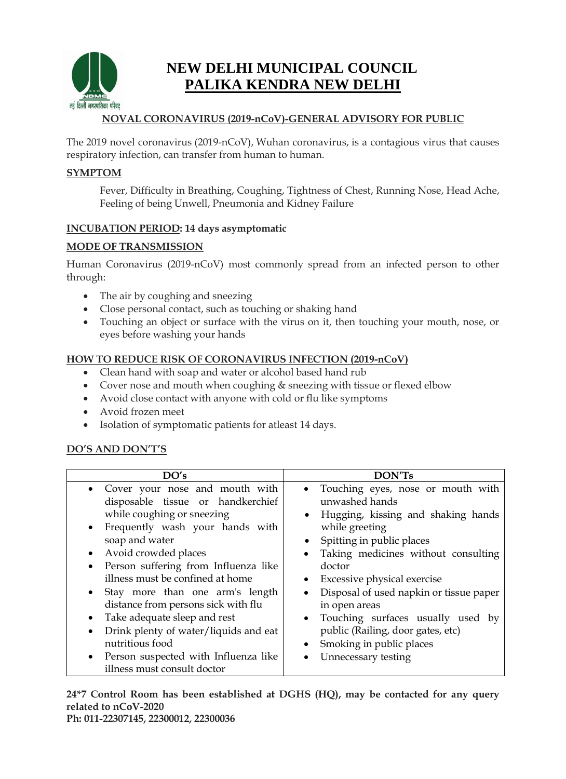

# **NEW DELHI MUNICIPAL COUNCIL PALIKA KENDRA NEW DELHI**

## **NOVAL CORONAVIRUS (2019-nCoV)-GENERAL ADVISORY FOR PUBLIC**

The 2019 novel coronavirus (2019-nCoV), Wuhan coronavirus, is a contagious virus that causes respiratory infection, can transfer from human to human.

### **SYMPTOM**

Fever, Difficulty in Breathing, Coughing, Tightness of Chest, Running Nose, Head Ache, Feeling of being Unwell, Pneumonia and Kidney Failure

## **INCUBATION PERIOD: 14 days asymptomatic**

### **MODE OF TRANSMISSION**

Human Coronavirus (2019-nCoV) most commonly spread from an infected person to other through:

- The air by coughing and sneezing
- Close personal contact, such as touching or shaking hand
- Touching an object or surface with the virus on it, then touching your mouth, nose, or eyes before washing your hands

## **HOW TO REDUCE RISK OF CORONAVIRUS INFECTION (2019-nCoV)**

- Clean hand with soap and water or alcohol based hand rub
- Cover nose and mouth when coughing & sneezing with tissue or flexed elbow
- Avoid close contact with anyone with cold or flu like symptoms
- Avoid frozen meet
- Isolation of symptomatic patients for atleast 14 days.

### **DO'S AND DON'T'S**

| DO's                                                                                                                                                                                                                                                                                                                                                                                                                                                                                                                                                                                    | DON'Ts                                                                                                                                                                                                                                                                                                                                                                                                                                 |
|-----------------------------------------------------------------------------------------------------------------------------------------------------------------------------------------------------------------------------------------------------------------------------------------------------------------------------------------------------------------------------------------------------------------------------------------------------------------------------------------------------------------------------------------------------------------------------------------|----------------------------------------------------------------------------------------------------------------------------------------------------------------------------------------------------------------------------------------------------------------------------------------------------------------------------------------------------------------------------------------------------------------------------------------|
| • Cover your nose and mouth with<br>disposable tissue or handkerchief<br>while coughing or sneezing<br>Frequently wash your hands with<br>$\bullet$<br>soap and water<br>Avoid crowded places<br>$\bullet$<br>Person suffering from Influenza like<br>illness must be confined at home<br>Stay more than one arm's length<br>$\bullet$<br>distance from persons sick with flu<br>Take adequate sleep and rest<br>$\bullet$<br>Drink plenty of water/liquids and eat<br>$\bullet$<br>nutritious food<br>Person suspected with Influenza like<br>$\bullet$<br>illness must consult doctor | • Touching eyes, nose or mouth with<br>unwashed hands<br>• Hugging, kissing and shaking hands<br>while greeting<br>Spitting in public places<br>Taking medicines without consulting<br>$\bullet$<br>doctor<br>Excessive physical exercise<br>Disposal of used napkin or tissue paper<br>in open areas<br>• Touching surfaces usually used by<br>public (Railing, door gates, etc)<br>• Smoking in public places<br>Unnecessary testing |

**24\*7 Control Room has been established at DGHS (HQ), may be contacted for any query related to nCoV-2020 Ph: 011-22307145, 22300012, 22300036**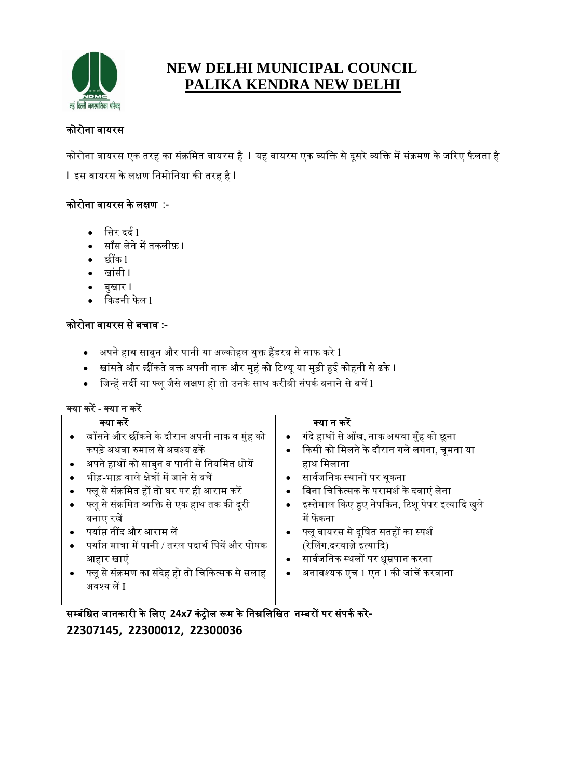

# **NEW DELHI MUNICIPAL COUNCIL PALIKA KENDRA NEW DELHI**

# कोरोना वायरस

कोरोना वायरस एक तरह का संक्रमित वायरस है **l** यह वायरस एक व्यक्ति से दूसरे व्यक्ति में संक्रमण के जरिए फैलता है l इस वायरस के लक्षण मनिोमनया की तरह है l

# कोरोना वायरस के लक्षण :-

- सिर दर्द l
- सााँस लेने िें तकलीफ़ l
- छींक l
- खांसी l
- बुखार l
- ∙ किडनी फेल l

# कोरोना वायरस से बचाव **:-**

- $\bullet$  अपने हाथ साबुन और पानी या अल्कोहल युक्त हैंडरब से साफ करे l
- खांसते और छींकते वक्त अपनी नाक और मुहं को टिश्यू या मुड़ी हुई कोहनी से ढके l
- जिन्हें सर्दी या फ्लू जैसे लक्षण हो तो उनके साथ करीबी संपर्क बनाने से बचें l

## क्या करें**-** क्या न करें

| क्या करें                                           | क्या न करें                                            |
|-----------------------------------------------------|--------------------------------------------------------|
| • खाँसने और छींकने के दौरान अपनी नाक व मुंह को      | • गंदे हाथों से आँख, नाक अथवा मुँह को छूना             |
| कपड़े अथवा रुमाल से अवश्य ढकें                      | किसी को मिलने के दौरान गले लगना, चूमना या<br>$\bullet$ |
| अपने हाथों को साबुन व पानी से नियमित धोयें          | हाथ मिलाना                                             |
| भीड़-भाड़ वाले क्षेत्रों में जाने से बचें           | ● सार्वजनिक स्थानों पर थूकना                           |
| फ्लू से संक्रमित हों तो घर पर ही आराम करें          | बिना चिकित्सक के परामर्श के दवाएं लेना<br>$\bullet$    |
| फ्लू से संक्रमित व्यक्ति से एक हाथ तक की दूरी       | इस्तेमाल किए हुए नेपकिन, टिशू पेपर इत्यादि खुले        |
| बनाए रखें                                           | में फेंकना                                             |
| पर्याप्त नींद और आराम लें                           | ●     फ्लू वायरस से दूषित सतहों का स्पर्श              |
| पर्याप्त मात्रा में पानी / तरल पदार्थ पियें और पोषक | (रेलिंग,दरवाज़े इत्यादि)                               |
| आहार खाएं                                           | सार्वजनिक स्थलों पर धूम्रपान करना<br>$\bullet$         |
| फ्लू से संक्रमण का संदेह हो तो चिकित्सक से सलाह     | अनावश्यक एच 1 एन 1 की जांचें करवाना<br>$\bullet$       |
| अवश्य लें I                                         |                                                        |
|                                                     |                                                        |

<u>सम्बंधित जानकारी के लिए</u> 24x7 कंट्रोल रूम के निम्नलिखित नम्बरों पर संपर्क करे-**22307145, 22300012, 22300036**